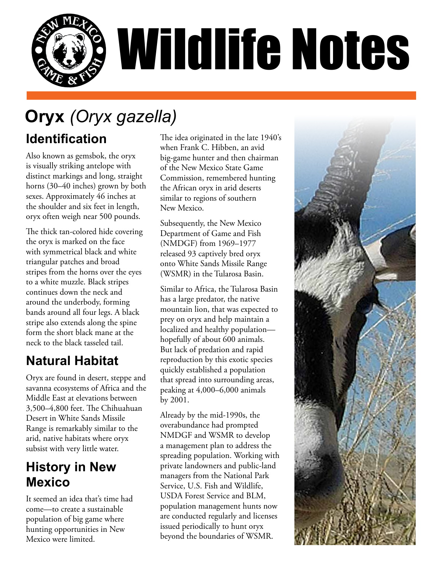

# **Oryx** *(Oryx gazella)*

#### **Identification**

Also known as gemsbok, the oryx is visually striking antelope with distinct markings and long, straight horns (30–40 inches) grown by both sexes. Approximately 46 inches at the shoulder and six feet in length, oryx often weigh near 500 pounds.

The thick tan-colored hide covering the oryx is marked on the face with symmetrical black and white triangular patches and broad stripes from the horns over the eyes to a white muzzle. Black stripes continues down the neck and around the underbody, forming bands around all four legs. A black stripe also extends along the spine form the short black mane at the neck to the black tasseled tail.

## **Natural Habitat**

Oryx are found in desert, steppe and savanna ecosystems of Africa and the Middle East at elevations between 3,500–4,800 feet. The Chihuahuan Desert in White Sands Missile Range is remarkably similar to the arid, native habitats where oryx subsist with very little water.

#### **History in New Mexico**

It seemed an idea that's time had come—to create a sustainable population of big game where hunting opportunities in New Mexico were limited.

The idea originated in the late 1940's when Frank C. Hibben, an avid big-game hunter and then chairman of the New Mexico State Game Commission, remembered hunting the African oryx in arid deserts similar to regions of southern New Mexico.

Subsequently, the New Mexico Department of Game and Fish (NMDGF) from 1969–1977 released 93 captively bred oryx onto White Sands Missile Range (WSMR) in the Tularosa Basin.

Similar to Africa, the Tularosa Basin has a large predator, the native mountain lion, that was expected to prey on oryx and help maintain a localized and healthy population hopefully of about 600 animals. But lack of predation and rapid reproduction by this exotic species quickly established a population that spread into surrounding areas, peaking at 4,000–6,000 animals by 2001.

Already by the mid-1990s, the overabundance had prompted NMDGF and WSMR to develop a management plan to address the spreading population. Working with private landowners and public-land managers from the National Park Service, U.S. Fish and Wildlife, USDA Forest Service and BLM, population management hunts now are conducted regularly and licenses issued periodically to hunt oryx beyond the boundaries of WSMR.